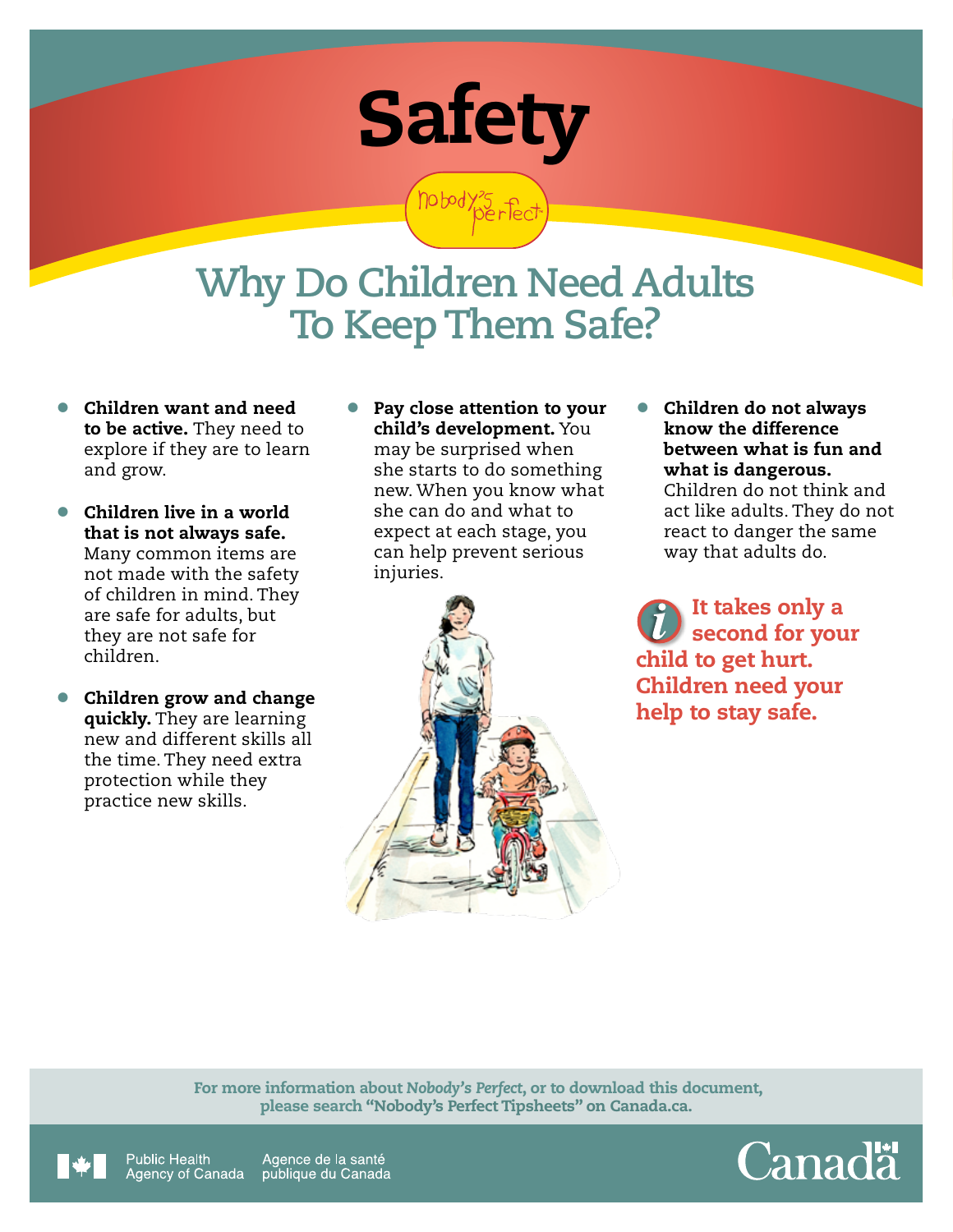

hobody's fed

## **Why Do Children Need Adults To Keep Them Safe?**

- Children want and need to be active. They need to explore if they are to learn and grow.
- Children live in a world that is not always safe. Many common items are not made with the safety of children in mind. They are safe for adults, but they are not safe for children.
- Children grow and change quickly. They are learning new and different skills all the time. They need extra protection while they practice new skills.
- Pay close attention to your child's development. You may be surprised when she starts to do something new. When you know what she can do and what to expect at each stage, you can help prevent serious injuries.



• Children do not always know the difference between what is fun and what is dangerous. Children do not think and act like adults. They do not react to danger the same way that adults do.

It takes only a second for your child to get hurt. Children need your help to stay safe.

 For more information about *Nobody's Perfect*, or to download this document, please search "Nobody's Perfect Tipsheets" on Canada.ca.



Public Health Agence de la santé Agency of Canada publique du Canada Canadä